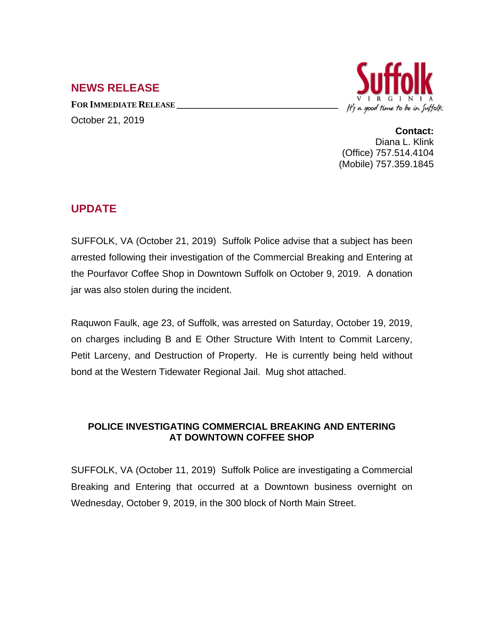## **NEWS RELEASE**

**FOR IMMEDIATE RELEASE \_\_\_\_\_\_\_\_\_\_\_\_\_\_\_\_\_\_\_\_\_\_\_\_\_\_\_\_\_\_\_\_\_\_** October 21, 2019



**Contact:** Diana L. Klink (Office) 757.514.4104 (Mobile) 757.359.1845

## **UPDATE**

SUFFOLK, VA (October 21, 2019) Suffolk Police advise that a subject has been arrested following their investigation of the Commercial Breaking and Entering at the Pourfavor Coffee Shop in Downtown Suffolk on October 9, 2019. A donation jar was also stolen during the incident.

Raquwon Faulk, age 23, of Suffolk, was arrested on Saturday, October 19, 2019, on charges including B and E Other Structure With Intent to Commit Larceny, Petit Larceny, and Destruction of Property. He is currently being held without bond at the Western Tidewater Regional Jail. Mug shot attached.

## **POLICE INVESTIGATING COMMERCIAL BREAKING AND ENTERING AT DOWNTOWN COFFEE SHOP**

SUFFOLK, VA (October 11, 2019) Suffolk Police are investigating a Commercial Breaking and Entering that occurred at a Downtown business overnight on Wednesday, October 9, 2019, in the 300 block of North Main Street.